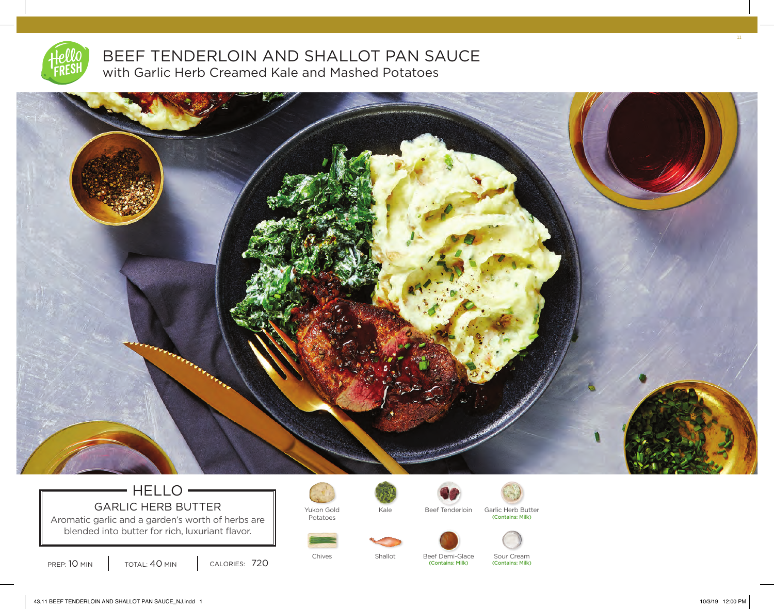

# BEEF TENDERLOIN AND SHALLOT PAN SAUCE with Garlic Herb Creamed Kale and Mashed Potatoes



# $=$  HELLO $=$ GARLIC HERB BUTTER  $\parallel$  Yukon Gold

Aromatic garlic and a garden's worth of herbs are blended into butter for rich, luxuriant flavor.

PREP: 10 MIN | TOTAL: 40 MIN | CALORIES: 720

Potatoes





Kale Beef Tenderloin Garlic Herb Butter (Contains: Milk)





(Contains: Milk)

Chives Shallot Beef Demi-Glace Sour Cream



(Contains: Milk)

11